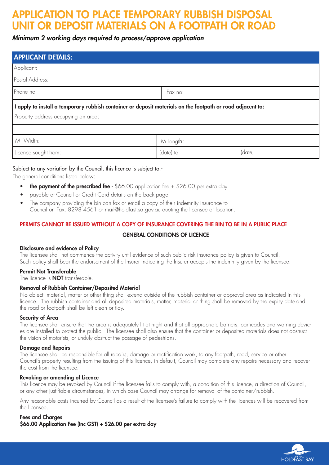# APPLICATION TO PLACE TEMPORARY RUBBISH DISPOSAL UNIT OR DEPOSIT MATERIALS ON A FOOTPATH OR

# Minimum 2 working days required to process/approve application

| <b>APPLICANT DETAILS:</b>                                                                                  |                     |
|------------------------------------------------------------------------------------------------------------|---------------------|
| Applicant:                                                                                                 |                     |
| Postal Address:                                                                                            |                     |
| Phone no:                                                                                                  | Fax no:             |
| I apply to install a temporary rubbish container or deposit materials on the footpath or road adjacent to: |                     |
| Property address occupying an area:                                                                        |                     |
|                                                                                                            |                     |
| M Width:                                                                                                   | M Length:           |
| Licence sought from:                                                                                       | (date)<br>(date) to |

## Subject to any variation by the Council, this licence is subject to:-

The general conditions listed below:

- **the payment of the prescribed fee**  $-$  \$66.00 application fee  $+$  \$26.00 per extra day
- payable at Council or Credit Card details on the back page
- The company providing the bin can fax or email a copy of their indemnity insurance to Council on Fax: 8298 4561 or mail@holdfast.sa.gov.au quoting the licensee or location.

### PERMITS CANNOT BE ISSUED WITHOUT A COPY OF INSURANCE COVERING THE BIN TO BE IN A PUBLIC PLACE

### GENERAL CONDITIONS OF LICENCE

### Disclosure and evidence of Policy

The licensee shall not commence the activity until evidence of such public risk insurance policy is given to Council. Such policy shall bear the endorsement of the Insurer indicating the Insurer accepts the indemnity given by the licensee.

### Permit Not Transferable

The licence is **NOT** transferable.

### Removal of Rubbish Container/Deposited Material

No object, material, matter or other thing shall extend outside of the rubbish container or approval area as indicated in this licence. The rubbish container and all deposited materials, matter, material or thing shall be removed by the expiry date and the road or footpath shall be left clean or tidy.

#### Security of Area

The licensee shall ensure that the area is adequately lit at night and that all appropriate barriers, barricades and warning devices are installed to protect the public. The licensee shall also ensure that the container or deposited materials does not obstruct the vision of motorists, or unduly obstruct the passage of pedestrians.

#### Damage and Repairs

The licensee shall be responsible for all repairs, damage or rectification work, to any footpath, road, service or other Council's property resulting from the issuing of this licence, in default, Council may complete any repairs necessary and recover the cost from the licensee.

#### Revoking or amending of Licence

This licence may be revoked by Council if the licensee fails to comply with, a condition of this licence, a direction of Council, or any other justifiable circumstances, in which case Council may arrange for removal of the container/rubbish.

Any reasonable costs incurred by Council as a result of the licensee's failure to comply with the licences will be recovered from the licensee.

### Fees and Charges \$66.00 Application Fee (Inc GST) + \$26.00 per extra day